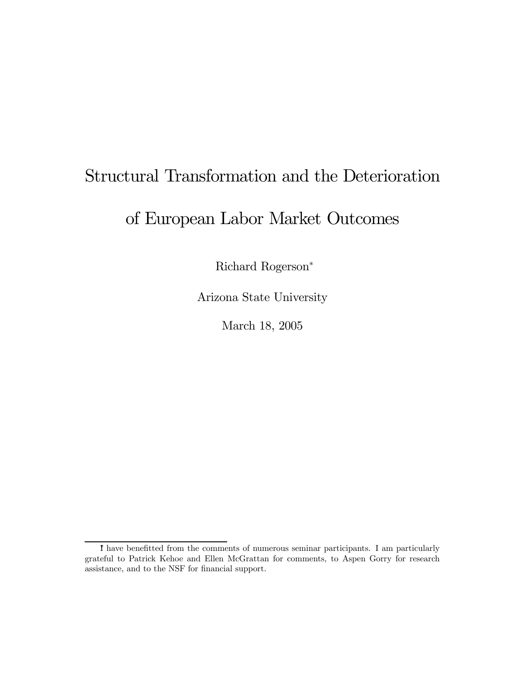# Structural Transformation and the Deterioration

## of European Labor Market Outcomes

Richard Rogerson<sup>∗</sup>

Arizona State University

March 18, 2005

<sup>∗</sup> I have benefitted from the comments of numerous seminar participants. I am particularly grateful to Patrick Kehoe and Ellen McGrattan for comments, to Aspen Gorry for research assistance, and to the NSF for financial support.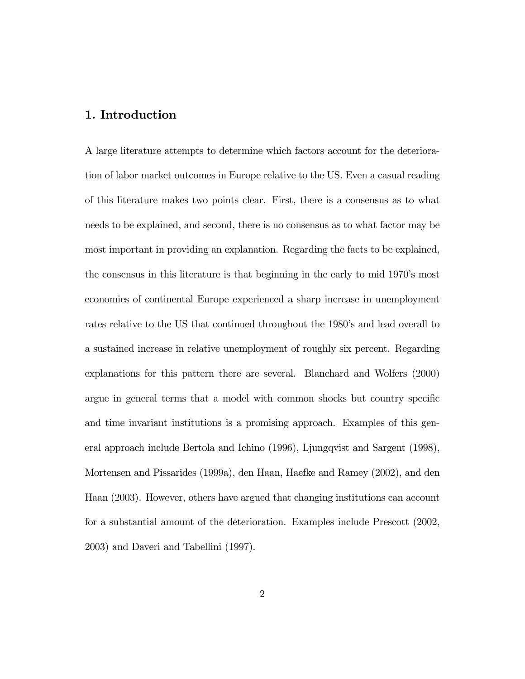## 1. Introduction

A large literature attempts to determine which factors account for the deterioration of labor market outcomes in Europe relative to the US. Even a casual reading of this literature makes two points clear. First, there is a consensus as to what needs to be explained, and second, there is no consensus as to what factor may be most important in providing an explanation. Regarding the facts to be explained, the consensus in this literature is that beginning in the early to mid 1970's most economies of continental Europe experienced a sharp increase in unemployment rates relative to the US that continued throughout the 1980's and lead overall to a sustained increase in relative unemployment of roughly six percent. Regarding explanations for this pattern there are several. Blanchard and Wolfers (2000) argue in general terms that a model with common shocks but country specific and time invariant institutions is a promising approach. Examples of this general approach include Bertola and Ichino (1996), Ljungqvist and Sargent (1998), Mortensen and Pissarides (1999a), den Haan, Haefke and Ramey (2002), and den Haan (2003). However, others have argued that changing institutions can account for a substantial amount of the deterioration. Examples include Prescott (2002, 2003) and Daveri and Tabellini (1997).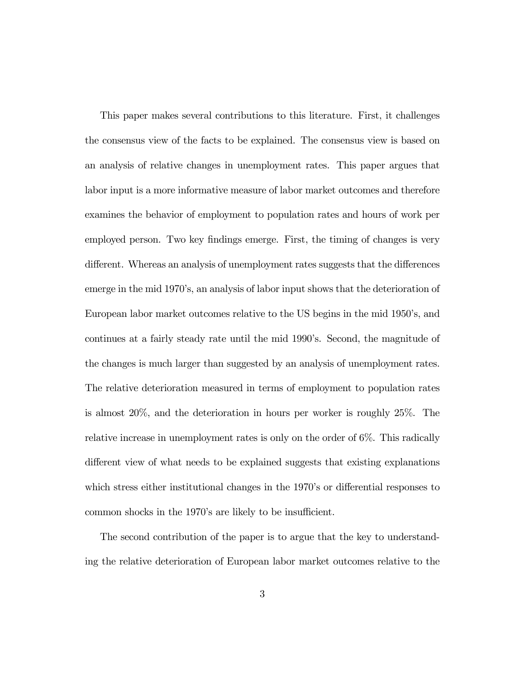This paper makes several contributions to this literature. First, it challenges the consensus view of the facts to be explained. The consensus view is based on an analysis of relative changes in unemployment rates. This paper argues that labor input is a more informative measure of labor market outcomes and therefore examines the behavior of employment to population rates and hours of work per employed person. Two key findings emerge. First, the timing of changes is very different. Whereas an analysis of unemployment rates suggests that the differences emerge in the mid 1970's, an analysis of labor input shows that the deterioration of European labor market outcomes relative to the US begins in the mid 1950's, and continues at a fairly steady rate until the mid 1990's. Second, the magnitude of the changes is much larger than suggested by an analysis of unemployment rates. The relative deterioration measured in terms of employment to population rates is almost 20%, and the deterioration in hours per worker is roughly 25%. The relative increase in unemployment rates is only on the order of 6%. This radically different view of what needs to be explained suggests that existing explanations which stress either institutional changes in the 1970's or differential responses to common shocks in the 1970's are likely to be insufficient.

The second contribution of the paper is to argue that the key to understanding the relative deterioration of European labor market outcomes relative to the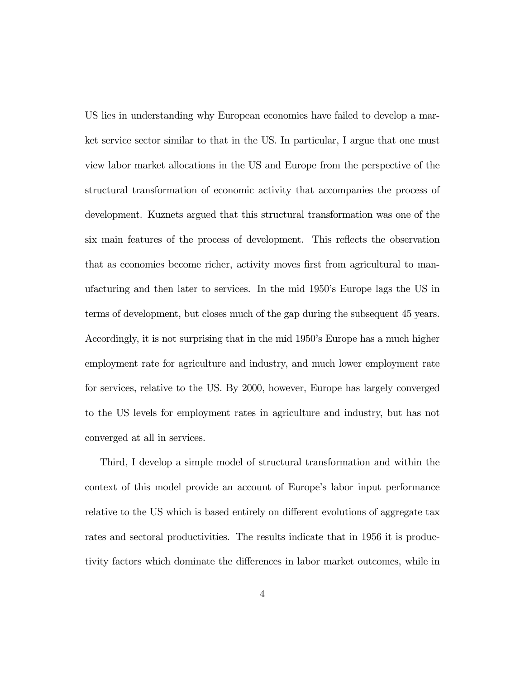US lies in understanding why European economies have failed to develop a market service sector similar to that in the US. In particular, I argue that one must view labor market allocations in the US and Europe from the perspective of the structural transformation of economic activity that accompanies the process of development. Kuznets argued that this structural transformation was one of the six main features of the process of development. This reflects the observation that as economies become richer, activity moves first from agricultural to manufacturing and then later to services. In the mid 1950's Europe lags the US in terms of development, but closes much of the gap during the subsequent 45 years. Accordingly, it is not surprising that in the mid 1950's Europe has a much higher employment rate for agriculture and industry, and much lower employment rate for services, relative to the US. By 2000, however, Europe has largely converged to the US levels for employment rates in agriculture and industry, but has not converged at all in services.

Third, I develop a simple model of structural transformation and within the context of this model provide an account of Europe's labor input performance relative to the US which is based entirely on different evolutions of aggregate tax rates and sectoral productivities. The results indicate that in 1956 it is productivity factors which dominate the differences in labor market outcomes, while in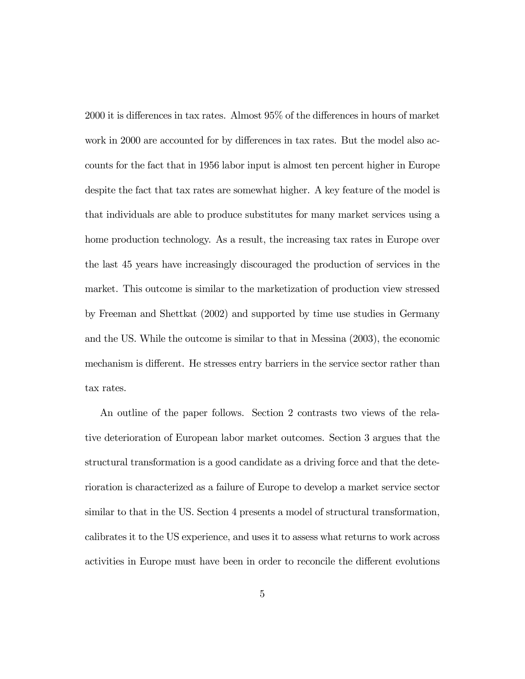2000 it is differences in tax rates. Almost 95% of the differences in hours of market work in 2000 are accounted for by differences in tax rates. But the model also accounts for the fact that in 1956 labor input is almost ten percent higher in Europe despite the fact that tax rates are somewhat higher. A key feature of the model is that individuals are able to produce substitutes for many market services using a home production technology. As a result, the increasing tax rates in Europe over the last 45 years have increasingly discouraged the production of services in the market. This outcome is similar to the marketization of production view stressed by Freeman and Shettkat (2002) and supported by time use studies in Germany and the US. While the outcome is similar to that in Messina (2003), the economic mechanism is different. He stresses entry barriers in the service sector rather than tax rates.

An outline of the paper follows. Section 2 contrasts two views of the relative deterioration of European labor market outcomes. Section 3 argues that the structural transformation is a good candidate as a driving force and that the deterioration is characterized as a failure of Europe to develop a market service sector similar to that in the US. Section 4 presents a model of structural transformation, calibrates it to the US experience, and uses it to assess what returns to work across activities in Europe must have been in order to reconcile the different evolutions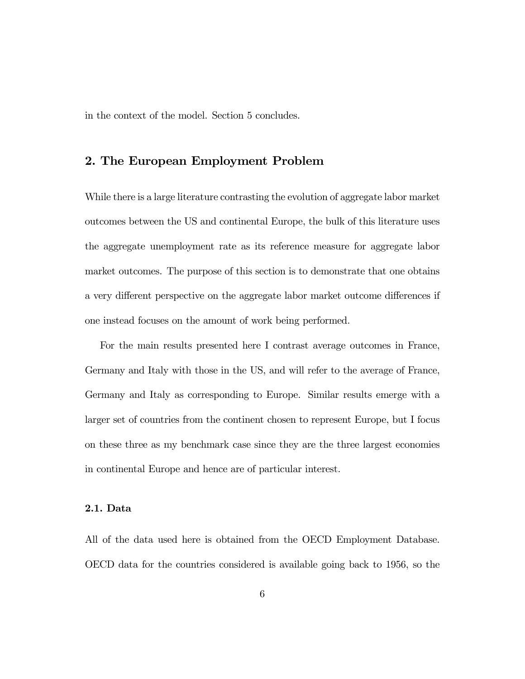in the context of the model. Section 5 concludes.

## 2. The European Employment Problem

While there is a large literature contrasting the evolution of aggregate labor market outcomes between the US and continental Europe, the bulk of this literature uses the aggregate unemployment rate as its reference measure for aggregate labor market outcomes. The purpose of this section is to demonstrate that one obtains a very different perspective on the aggregate labor market outcome differences if one instead focuses on the amount of work being performed.

For the main results presented here I contrast average outcomes in France, Germany and Italy with those in the US, and will refer to the average of France, Germany and Italy as corresponding to Europe. Similar results emerge with a larger set of countries from the continent chosen to represent Europe, but I focus on these three as my benchmark case since they are the three largest economies in continental Europe and hence are of particular interest.

### 2.1. Data

All of the data used here is obtained from the OECD Employment Database. OECD data for the countries considered is available going back to 1956, so the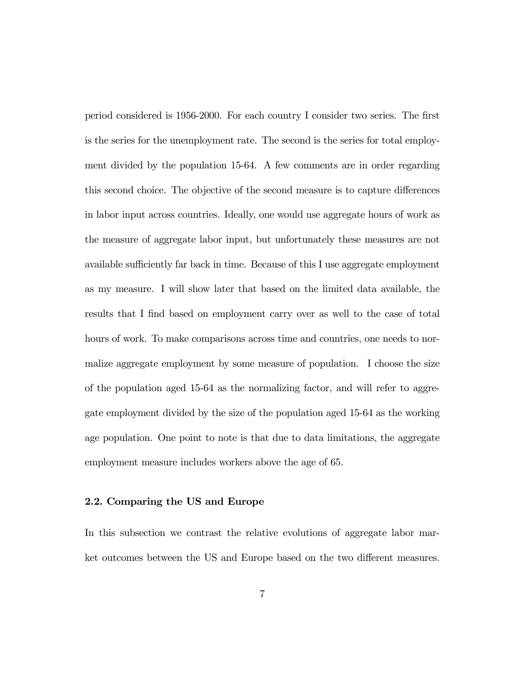period considered is 1956-2000. For each country I consider two series. The first is the series for the unemployment rate. The second is the series for total employment divided by the population 15-64. A few comments are in order regarding this second choice. The objective of the second measure is to capture differences in labor input across countries. Ideally, one would use aggregate hours of work as the measure of aggregate labor input, but unfortunately these measures are not available sufficiently far back in time. Because of this I use aggregate employment as my measure. I will show later that based on the limited data available, the results that I find based on employment carry over as well to the case of total hours of work. To make comparisons across time and countries, one needs to normalize aggregate employment by some measure of population. I choose the size of the population aged 15-64 as the normalizing factor, and will refer to aggregate employment divided by the size of the population aged 15-64 as the working age population. One point to note is that due to data limitations, the aggregate employment measure includes workers above the age of 65.

#### 2.2. Comparing the US and Europe

In this subsection we contrast the relative evolutions of aggregate labor market outcomes between the US and Europe based on the two different measures.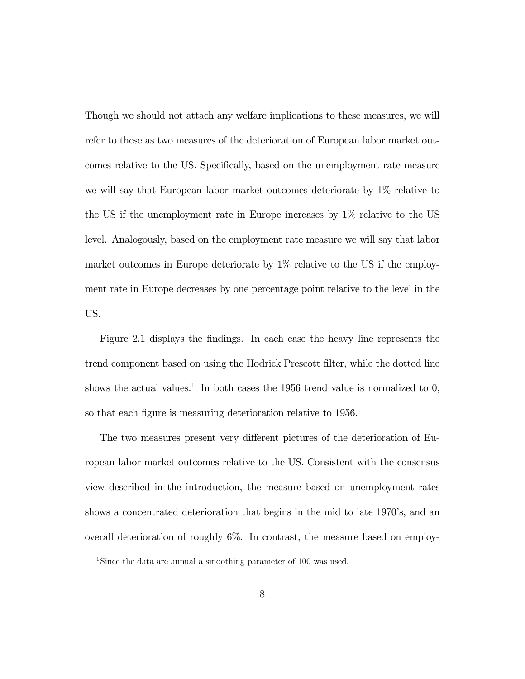Though we should not attach any welfare implications to these measures, we will refer to these as two measures of the deterioration of European labor market outcomes relative to the US. Specifically, based on the unemployment rate measure we will say that European labor market outcomes deteriorate by 1% relative to the US if the unemployment rate in Europe increases by 1% relative to the US level. Analogously, based on the employment rate measure we will say that labor market outcomes in Europe deteriorate by 1% relative to the US if the employment rate in Europe decreases by one percentage point relative to the level in the US.

Figure 2.1 displays the findings. In each case the heavy line represents the trend component based on using the Hodrick Prescott filter, while the dotted line shows the actual values.<sup>1</sup> In both cases the 1956 trend value is normalized to 0, so that each figure is measuring deterioration relative to 1956.

The two measures present very different pictures of the deterioration of European labor market outcomes relative to the US. Consistent with the consensus view described in the introduction, the measure based on unemployment rates shows a concentrated deterioration that begins in the mid to late 1970's, and an overall deterioration of roughly 6%. In contrast, the measure based on employ-

<sup>1</sup>Since the data are annual a smoothing parameter of 100 was used.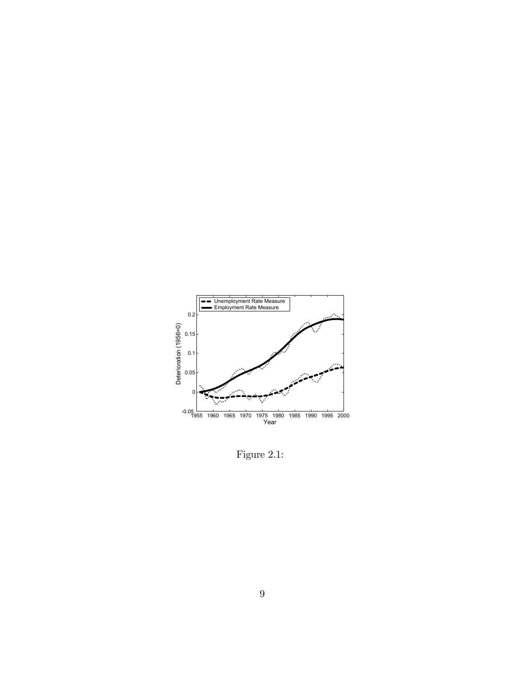

Figure 2.1: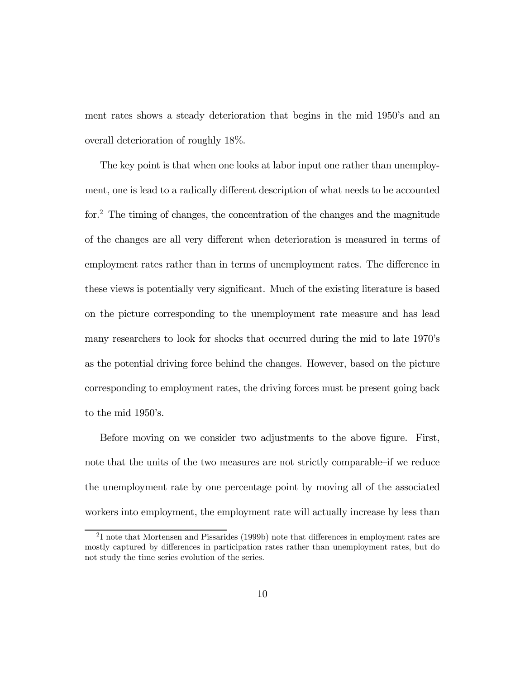ment rates shows a steady deterioration that begins in the mid 1950's and an overall deterioration of roughly 18%.

The key point is that when one looks at labor input one rather than unemployment, one is lead to a radically different description of what needs to be accounted for.2 The timing of changes, the concentration of the changes and the magnitude of the changes are all very different when deterioration is measured in terms of employment rates rather than in terms of unemployment rates. The difference in these views is potentially very significant. Much of the existing literature is based on the picture corresponding to the unemployment rate measure and has lead many researchers to look for shocks that occurred during the mid to late 1970's as the potential driving force behind the changes. However, based on the picture corresponding to employment rates, the driving forces must be present going back to the mid 1950's.

Before moving on we consider two adjustments to the above figure. First, note that the units of the two measures are not strictly comparable—if we reduce the unemployment rate by one percentage point by moving all of the associated workers into employment, the employment rate will actually increase by less than

<sup>2</sup> I note that Mortensen and Pissarides (1999b) note that differences in employment rates are mostly captured by differences in participation rates rather than unemployment rates, but do not study the time series evolution of the series.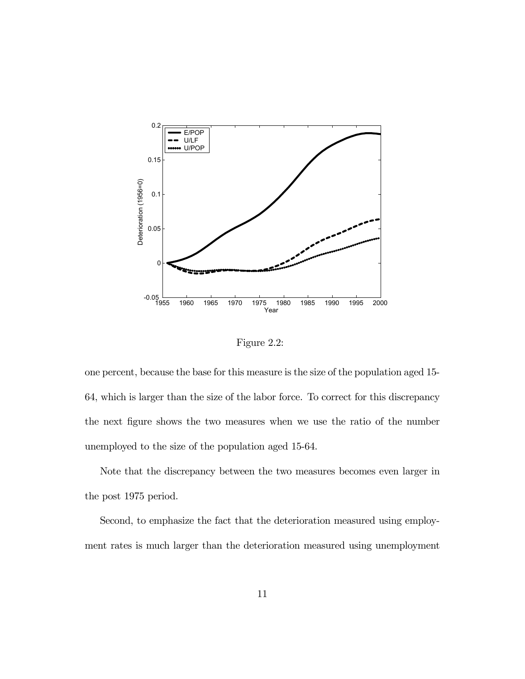

Figure 2.2:

one percent, because the base for this measure is the size of the population aged 15- 64, which is larger than the size of the labor force. To correct for this discrepancy the next figure shows the two measures when we use the ratio of the number unemployed to the size of the population aged 15-64.

Note that the discrepancy between the two measures becomes even larger in the post 1975 period.

Second, to emphasize the fact that the deterioration measured using employment rates is much larger than the deterioration measured using unemployment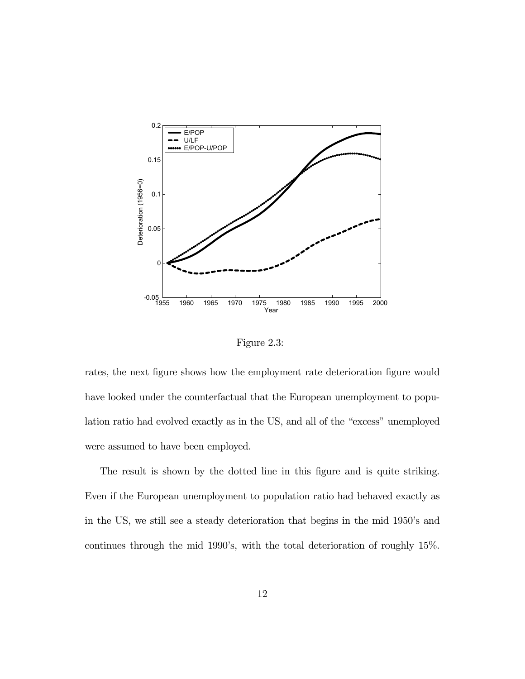

Figure 2.3:

rates, the next figure shows how the employment rate deterioration figure would have looked under the counterfactual that the European unemployment to population ratio had evolved exactly as in the US, and all of the "excess" unemployed were assumed to have been employed.

The result is shown by the dotted line in this figure and is quite striking. Even if the European unemployment to population ratio had behaved exactly as in the US, we still see a steady deterioration that begins in the mid 1950's and continues through the mid 1990's, with the total deterioration of roughly 15%.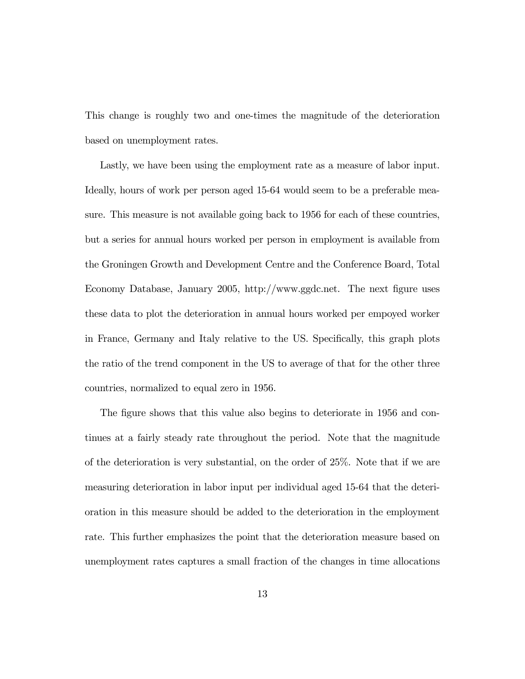This change is roughly two and one-times the magnitude of the deterioration based on unemployment rates.

Lastly, we have been using the employment rate as a measure of labor input. Ideally, hours of work per person aged 15-64 would seem to be a preferable measure. This measure is not available going back to 1956 for each of these countries, but a series for annual hours worked per person in employment is available from the Groningen Growth and Development Centre and the Conference Board, Total Economy Database, January 2005, http://www.ggdc.net. The next figure uses these data to plot the deterioration in annual hours worked per empoyed worker in France, Germany and Italy relative to the US. Specifically, this graph plots the ratio of the trend component in the US to average of that for the other three countries, normalized to equal zero in 1956.

The figure shows that this value also begins to deteriorate in 1956 and continues at a fairly steady rate throughout the period. Note that the magnitude of the deterioration is very substantial, on the order of 25%. Note that if we are measuring deterioration in labor input per individual aged 15-64 that the deterioration in this measure should be added to the deterioration in the employment rate. This further emphasizes the point that the deterioration measure based on unemployment rates captures a small fraction of the changes in time allocations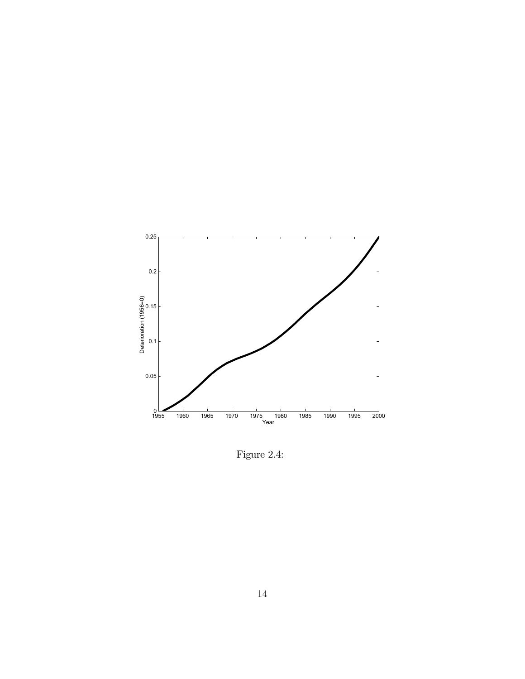

Figure 2.4: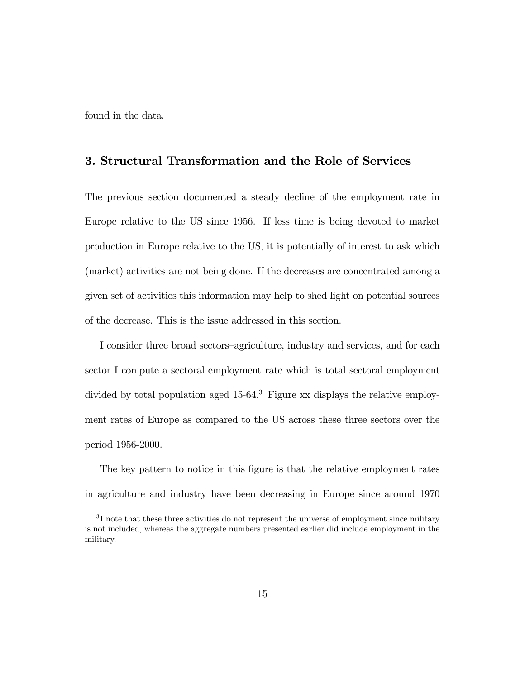found in the data.

## 3. Structural Transformation and the Role of Services

The previous section documented a steady decline of the employment rate in Europe relative to the US since 1956. If less time is being devoted to market production in Europe relative to the US, it is potentially of interest to ask which (market) activities are not being done. If the decreases are concentrated among a given set of activities this information may help to shed light on potential sources of the decrease. This is the issue addressed in this section.

I consider three broad sectors—agriculture, industry and services, and for each sector I compute a sectoral employment rate which is total sectoral employment divided by total population aged 15-64.3 Figure xx displays the relative employment rates of Europe as compared to the US across these three sectors over the period 1956-2000.

The key pattern to notice in this figure is that the relative employment rates in agriculture and industry have been decreasing in Europe since around 1970

<sup>&</sup>lt;sup>3</sup>I note that these three activities do not represent the universe of employment since military is not included, whereas the aggregate numbers presented earlier did include employment in the military.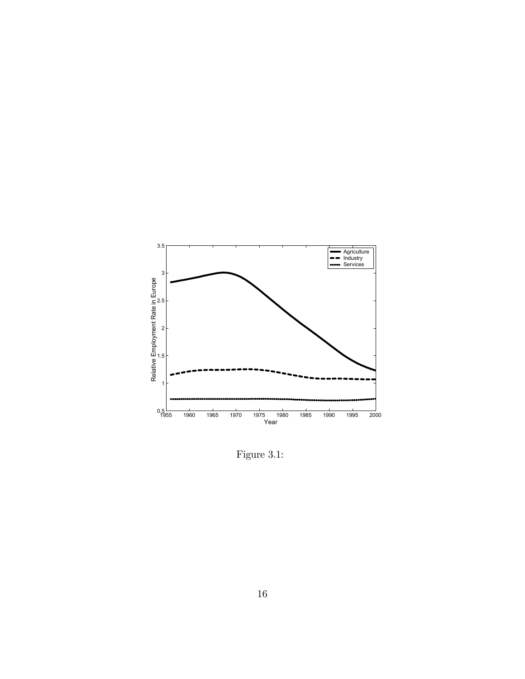

Figure 3.1: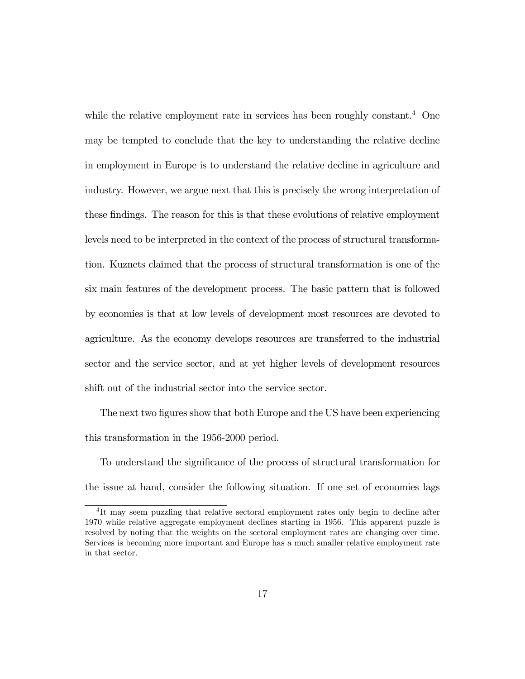while the relative employment rate in services has been roughly constant.<sup>4</sup> One may be tempted to conclude that the key to understanding the relative decline in employment in Europe is to understand the relative decline in agriculture and industry. However, we argue next that this is precisely the wrong interpretation of these findings. The reason for this is that these evolutions of relative employment levels need to be interpreted in the context of the process of structural transformation. Kuznets claimed that the process of structural transformation is one of the six main features of the development process. The basic pattern that is followed by economies is that at low levels of development most resources are devoted to agriculture. As the economy develops resources are transferred to the industrial sector and the service sector, and at yet higher levels of development resources shift out of the industrial sector into the service sector.

The next two figures show that both Europe and the US have been experiencing this transformation in the 1956-2000 period.

To understand the significance of the process of structural transformation for the issue at hand, consider the following situation. If one set of economies lags

<sup>4</sup> It may seem puzzling that relative sectoral employment rates only begin to decline after 1970 while relative aggregate employment declines starting in 1956. This apparent puzzle is resolved by noting that the weights on the sectoral employment rates are changing over time. Services is becoming more important and Europe has a much smaller relative employment rate in that sector.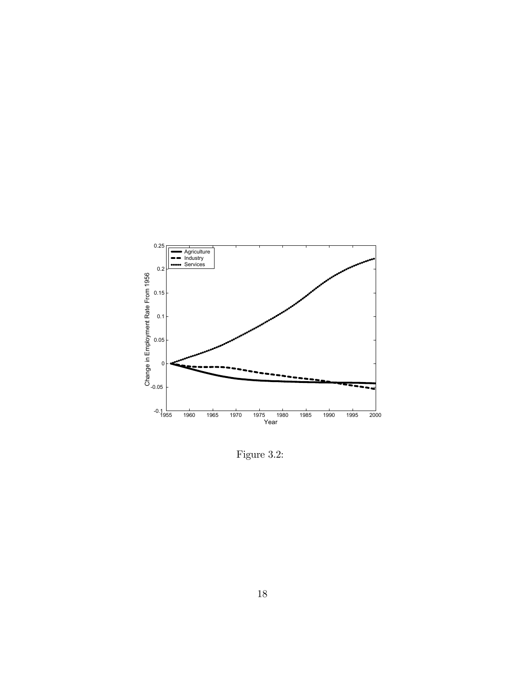

Figure 3.2: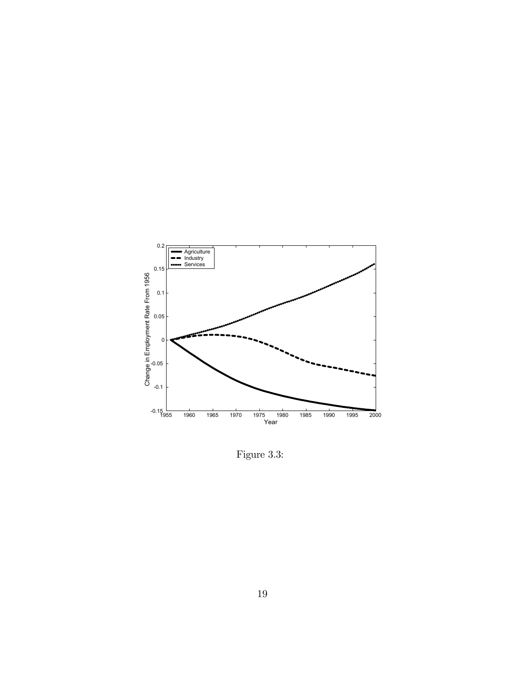

Figure 3.3: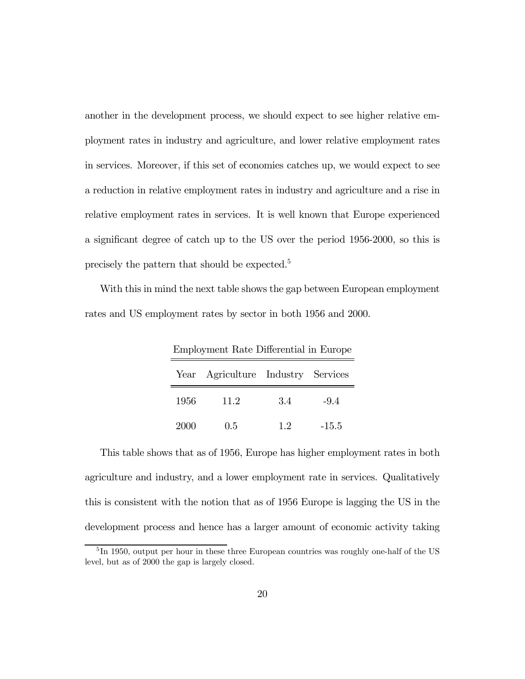another in the development process, we should expect to see higher relative employment rates in industry and agriculture, and lower relative employment rates in services. Moreover, if this set of economies catches up, we would expect to see a reduction in relative employment rates in industry and agriculture and a rise in relative employment rates in services. It is well known that Europe experienced a significant degree of catch up to the US over the period 1956-2000, so this is precisely the pattern that should be expected.5

With this in mind the next table shows the gap between European employment rates and US employment rates by sector in both 1956 and 2000.

| Employment Rate Differential in Europe |                                    |    |         |  |  |  |
|----------------------------------------|------------------------------------|----|---------|--|--|--|
|                                        | Year Agriculture Industry Services |    |         |  |  |  |
| 1956                                   | 11.2                               | 34 | $-94$   |  |  |  |
| 2000                                   | 0.5                                | 12 | $-15.5$ |  |  |  |

This table shows that as of 1956, Europe has higher employment rates in both agriculture and industry, and a lower employment rate in services. Qualitatively this is consistent with the notion that as of 1956 Europe is lagging the US in the development process and hence has a larger amount of economic activity taking

<sup>&</sup>lt;sup>5</sup>In 1950, output per hour in these three European countries was roughly one-half of the US level, but as of 2000 the gap is largely closed.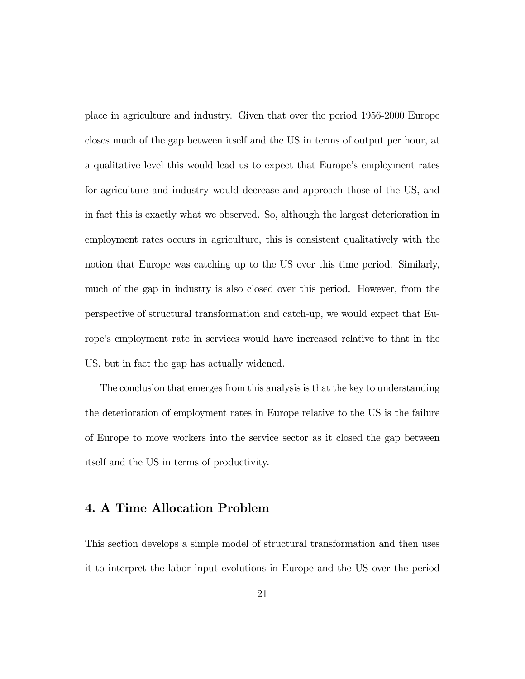place in agriculture and industry. Given that over the period 1956-2000 Europe closes much of the gap between itself and the US in terms of output per hour, at a qualitative level this would lead us to expect that Europe's employment rates for agriculture and industry would decrease and approach those of the US, and in fact this is exactly what we observed. So, although the largest deterioration in employment rates occurs in agriculture, this is consistent qualitatively with the notion that Europe was catching up to the US over this time period. Similarly, much of the gap in industry is also closed over this period. However, from the perspective of structural transformation and catch-up, we would expect that Europe's employment rate in services would have increased relative to that in the US, but in fact the gap has actually widened.

The conclusion that emerges from this analysis is that the key to understanding the deterioration of employment rates in Europe relative to the US is the failure of Europe to move workers into the service sector as it closed the gap between itself and the US in terms of productivity.

## 4. A Time Allocation Problem

This section develops a simple model of structural transformation and then uses it to interpret the labor input evolutions in Europe and the US over the period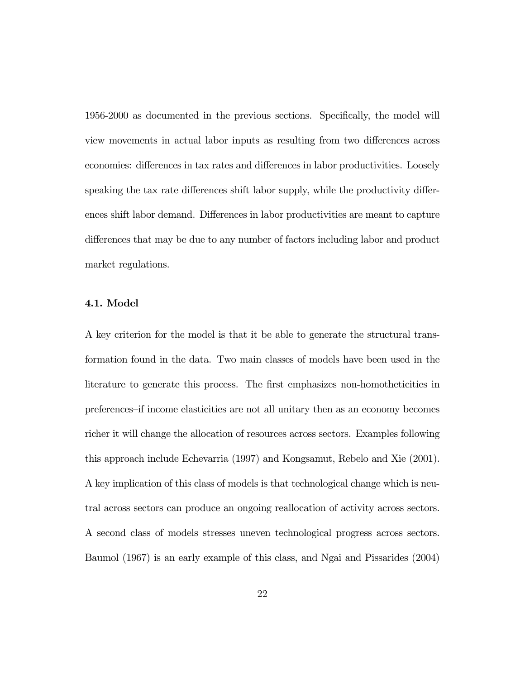1956-2000 as documented in the previous sections. Specifically, the model will view movements in actual labor inputs as resulting from two differences across economies: differences in tax rates and differences in labor productivities. Loosely speaking the tax rate differences shift labor supply, while the productivity differences shift labor demand. Differences in labor productivities are meant to capture differences that may be due to any number of factors including labor and product market regulations.

#### 4.1. Model

A key criterion for the model is that it be able to generate the structural transformation found in the data. Two main classes of models have been used in the literature to generate this process. The first emphasizes non-homotheticities in preferences—if income elasticities are not all unitary then as an economy becomes richer it will change the allocation of resources across sectors. Examples following this approach include Echevarria (1997) and Kongsamut, Rebelo and Xie (2001). A key implication of this class of models is that technological change which is neutral across sectors can produce an ongoing reallocation of activity across sectors. A second class of models stresses uneven technological progress across sectors. Baumol (1967) is an early example of this class, and Ngai and Pissarides (2004)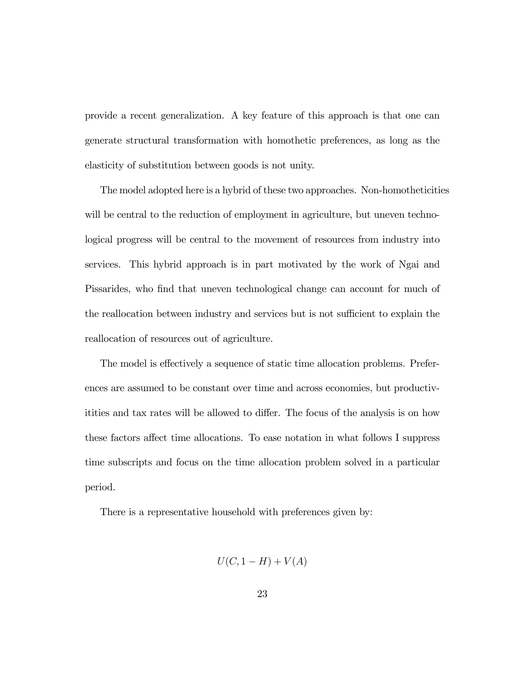provide a recent generalization. A key feature of this approach is that one can generate structural transformation with homothetic preferences, as long as the elasticity of substitution between goods is not unity.

The model adopted here is a hybrid of these two approaches. Non-homotheticities will be central to the reduction of employment in agriculture, but uneven technological progress will be central to the movement of resources from industry into services. This hybrid approach is in part motivated by the work of Ngai and Pissarides, who find that uneven technological change can account for much of the reallocation between industry and services but is not sufficient to explain the reallocation of resources out of agriculture.

The model is effectively a sequence of static time allocation problems. Preferences are assumed to be constant over time and across economies, but productivitities and tax rates will be allowed to differ. The focus of the analysis is on how these factors affect time allocations. To ease notation in what follows I suppress time subscripts and focus on the time allocation problem solved in a particular period.

There is a representative household with preferences given by:

$$
U(C, 1 - H) + V(A)
$$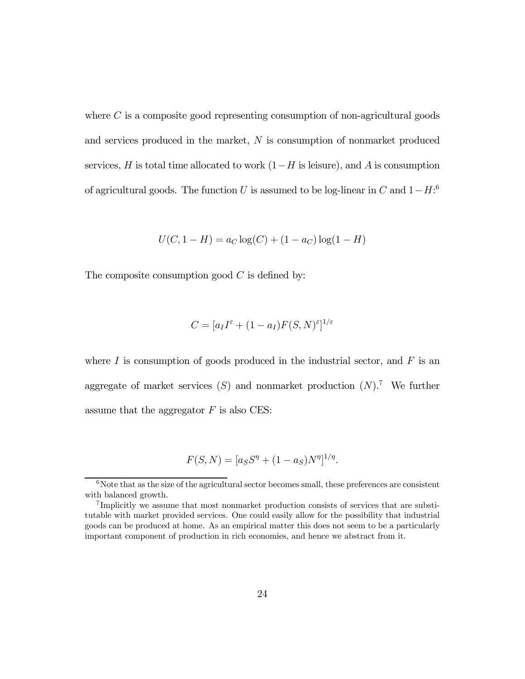where  $C$  is a composite good representing consumption of non-agricultural goods and services produced in the market, N is consumption of nonmarket produced services, H is total time allocated to work  $(1-H)$  is leisure), and A is consumption of agricultural goods. The function U is assumed to be log-linear in C and  $1-H$ :<sup>6</sup>

$$
U(C, 1 - H) = a_C \log(C) + (1 - a_C) \log(1 - H)
$$

The composite consumption good  $C$  is defined by:

$$
C = [a_I I^{\varepsilon} + (1 - a_I) F(S, N)^{\varepsilon}]^{1/\varepsilon}
$$

where  $I$  is consumption of goods produced in the industrial sector, and  $F$  is an aggregate of market services  $(S)$  and nonmarket production  $(N)$ .<sup>7</sup> We further assume that the aggregator  $F$  is also CES:

$$
F(S, N) = [a_S S^{\eta} + (1 - a_S)N^{\eta}]^{1/\eta}.
$$

 $6$ Note that as the size of the agricultural sector becomes small, these preferences are consistent with balanced growth.

<sup>7</sup> Implicitly we assume that most nonmarket production consists of services that are substitutable with market provided services. One could easily allow for the possibility that industrial goods can be produced at home. As an empirical matter this does not seem to be a particularly important component of production in rich economies, and hence we abstract from it.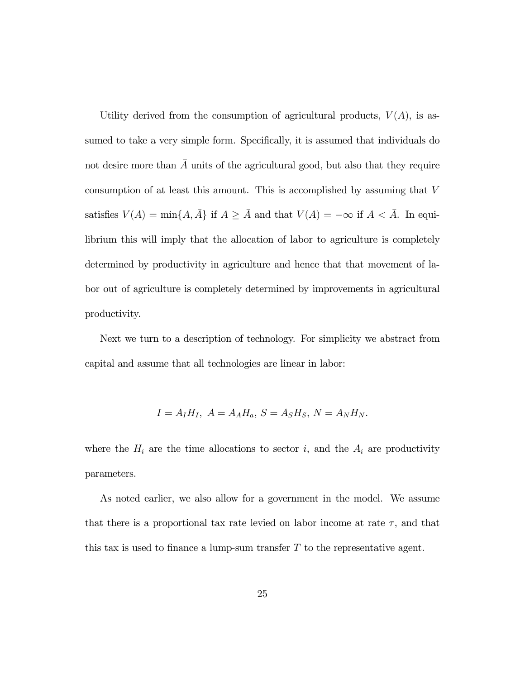Utility derived from the consumption of agricultural products,  $V(A)$ , is assumed to take a very simple form. Specifically, it is assumed that individuals do not desire more than  $\overline{A}$  units of the agricultural good, but also that they require consumption of at least this amount. This is accomplished by assuming that V satisfies  $V(A) = \min\{A, \overline{A}\}\$ if  $A \geq \overline{A}$  and that  $V(A) = -\infty$  if  $A < \overline{A}$ . In equilibrium this will imply that the allocation of labor to agriculture is completely determined by productivity in agriculture and hence that that movement of labor out of agriculture is completely determined by improvements in agricultural productivity.

Next we turn to a description of technology. For simplicity we abstract from capital and assume that all technologies are linear in labor:

$$
I = A_I H_I, A = A_A H_a, S = A_S H_S, N = A_N H_N.
$$

where the  $H_i$  are the time allocations to sector i, and the  $A_i$  are productivity parameters.

As noted earlier, we also allow for a government in the model. We assume that there is a proportional tax rate levied on labor income at rate  $\tau$ , and that this tax is used to finance a lump-sum transfer  $T$  to the representative agent.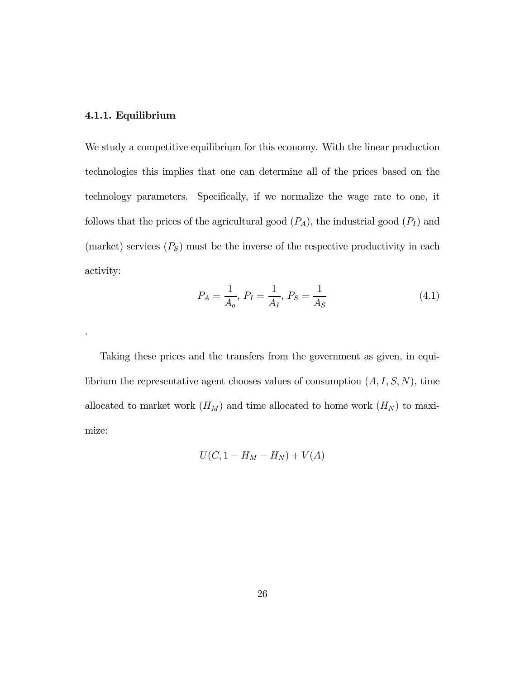#### 4.1.1. Equilibrium

.

We study a competitive equilibrium for this economy. With the linear production technologies this implies that one can determine all of the prices based on the technology parameters. Specifically, if we normalize the wage rate to one, it follows that the prices of the agricultural good  $(P_A)$ , the industrial good  $(P_I)$  and (market) services  $(P<sub>S</sub>)$  must be the inverse of the respective productivity in each activity:

$$
P_A = \frac{1}{A_a}, \ P_I = \frac{1}{A_I}, \ P_S = \frac{1}{A_S} \tag{4.1}
$$

Taking these prices and the transfers from the government as given, in equilibrium the representative agent chooses values of consumption  $(A, I, S, N)$ , time allocated to market work  $(H_M)$  and time allocated to home work  $(H_N)$  to maximize:

$$
U(C, 1 - H_M - H_N) + V(A)
$$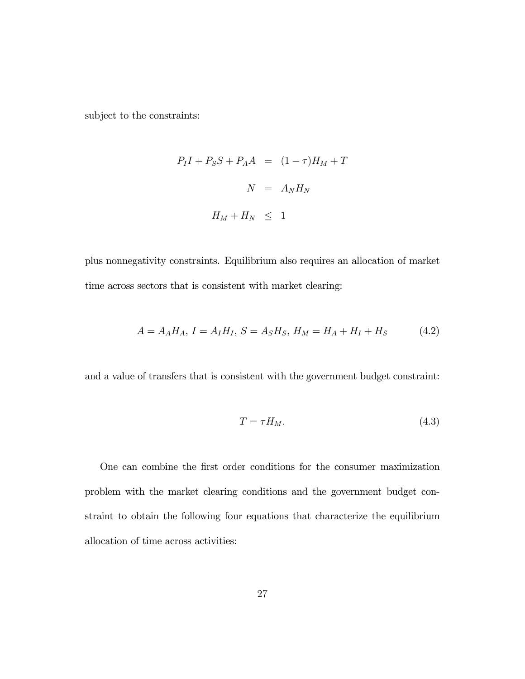subject to the constraints:

$$
P_I I + P_S S + P_A A = (1 - \tau) H_M + T
$$

$$
N = A_N H_N
$$

$$
H_M + H_N \leq 1
$$

plus nonnegativity constraints. Equilibrium also requires an allocation of market time across sectors that is consistent with market clearing:

$$
A = A_A H_A, I = A_I H_I, S = A_S H_S, H_M = H_A + H_I + H_S \tag{4.2}
$$

and a value of transfers that is consistent with the government budget constraint:

$$
T = \tau H_M. \tag{4.3}
$$

One can combine the first order conditions for the consumer maximization problem with the market clearing conditions and the government budget constraint to obtain the following four equations that characterize the equilibrium allocation of time across activities: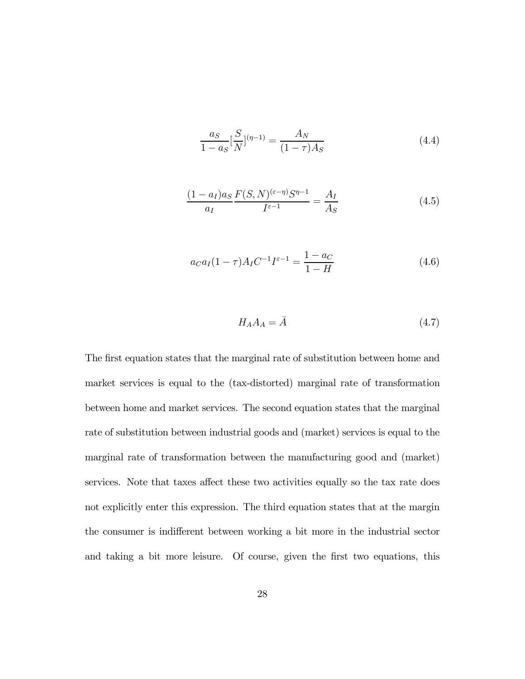$$
\frac{a_S}{1 - a_S} \left[ \frac{S}{N} \right]^{(\eta - 1)} = \frac{A_N}{(1 - \tau) A_S} \tag{4.4}
$$

$$
\frac{(1-a_I)a_S F(S,N)^{(\varepsilon-\eta)}S^{\eta-1}}{a_I} = \frac{A_I}{A_S}
$$
(4.5)

$$
a_C a_I (1 - \tau) A_I C^{-1} I^{\varepsilon - 1} = \frac{1 - a_C}{1 - H}
$$
\n(4.6)

$$
H_A A_A = \bar{A} \tag{4.7}
$$

The first equation states that the marginal rate of substitution between home and market services is equal to the (tax-distorted) marginal rate of transformation between home and market services. The second equation states that the marginal rate of substitution between industrial goods and (market) services is equal to the marginal rate of transformation between the manufacturing good and (market) services. Note that taxes affect these two activities equally so the tax rate does not explicitly enter this expression. The third equation states that at the margin the consumer is indifferent between working a bit more in the industrial sector and taking a bit more leisure. Of course, given the first two equations, this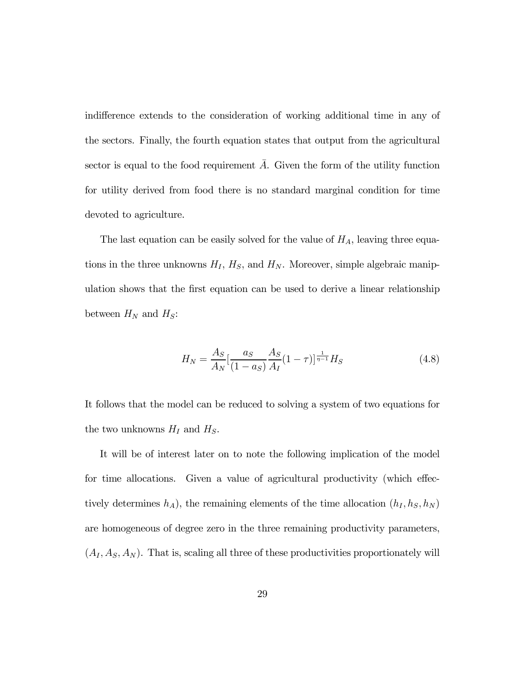indifference extends to the consideration of working additional time in any of the sectors. Finally, the fourth equation states that output from the agricultural sector is equal to the food requirement  $\overline{A}$ . Given the form of the utility function for utility derived from food there is no standard marginal condition for time devoted to agriculture.

The last equation can be easily solved for the value of  $H_A$ , leaving three equations in the three unknowns  $H_I$ ,  $H_S$ , and  $H_N$ . Moreover, simple algebraic manipulation shows that the first equation can be used to derive a linear relationship between  $H_N$  and  $H_S$ :

$$
H_N = \frac{A_S}{A_N} \left[ \frac{a_S}{(1 - a_S)} \frac{A_S}{A_I} (1 - \tau) \right]_{\tau=1}^{\tau=1} H_S \tag{4.8}
$$

It follows that the model can be reduced to solving a system of two equations for the two unknowns  $H_I$  and  $H_S$ .

It will be of interest later on to note the following implication of the model for time allocations. Given a value of agricultural productivity (which effectively determines  $h_A$ ), the remaining elements of the time allocation  $(h_I, h_S, h_N)$ are homogeneous of degree zero in the three remaining productivity parameters,  $(A_I, A_S, A_N)$ . That is, scaling all three of these productivities proportionately will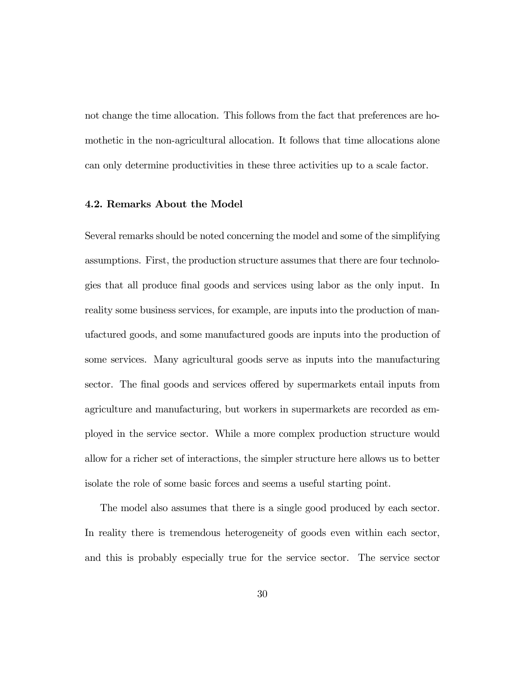not change the time allocation. This follows from the fact that preferences are homothetic in the non-agricultural allocation. It follows that time allocations alone can only determine productivities in these three activities up to a scale factor.

#### 4.2. Remarks About the Model

Several remarks should be noted concerning the model and some of the simplifying assumptions. First, the production structure assumes that there are four technologies that all produce final goods and services using labor as the only input. In reality some business services, for example, are inputs into the production of manufactured goods, and some manufactured goods are inputs into the production of some services. Many agricultural goods serve as inputs into the manufacturing sector. The final goods and services offered by supermarkets entail inputs from agriculture and manufacturing, but workers in supermarkets are recorded as employed in the service sector. While a more complex production structure would allow for a richer set of interactions, the simpler structure here allows us to better isolate the role of some basic forces and seems a useful starting point.

The model also assumes that there is a single good produced by each sector. In reality there is tremendous heterogeneity of goods even within each sector, and this is probably especially true for the service sector. The service sector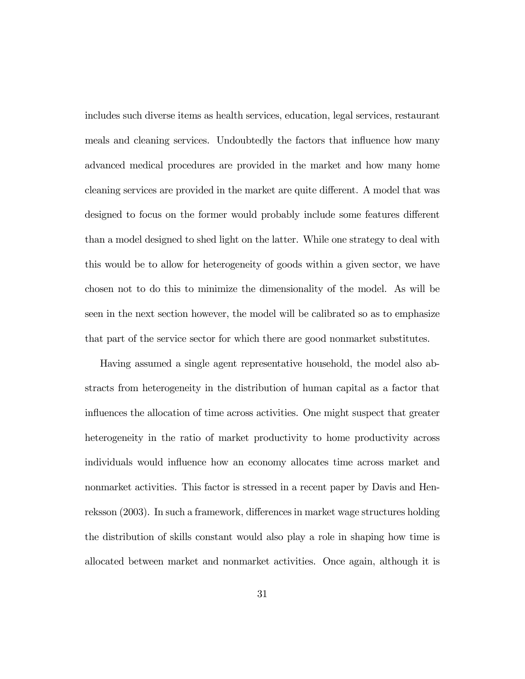includes such diverse items as health services, education, legal services, restaurant meals and cleaning services. Undoubtedly the factors that influence how many advanced medical procedures are provided in the market and how many home cleaning services are provided in the market are quite different. A model that was designed to focus on the former would probably include some features different than a model designed to shed light on the latter. While one strategy to deal with this would be to allow for heterogeneity of goods within a given sector, we have chosen not to do this to minimize the dimensionality of the model. As will be seen in the next section however, the model will be calibrated so as to emphasize that part of the service sector for which there are good nonmarket substitutes.

Having assumed a single agent representative household, the model also abstracts from heterogeneity in the distribution of human capital as a factor that influences the allocation of time across activities. One might suspect that greater heterogeneity in the ratio of market productivity to home productivity across individuals would influence how an economy allocates time across market and nonmarket activities. This factor is stressed in a recent paper by Davis and Henreksson (2003). In such a framework, differences in market wage structures holding the distribution of skills constant would also play a role in shaping how time is allocated between market and nonmarket activities. Once again, although it is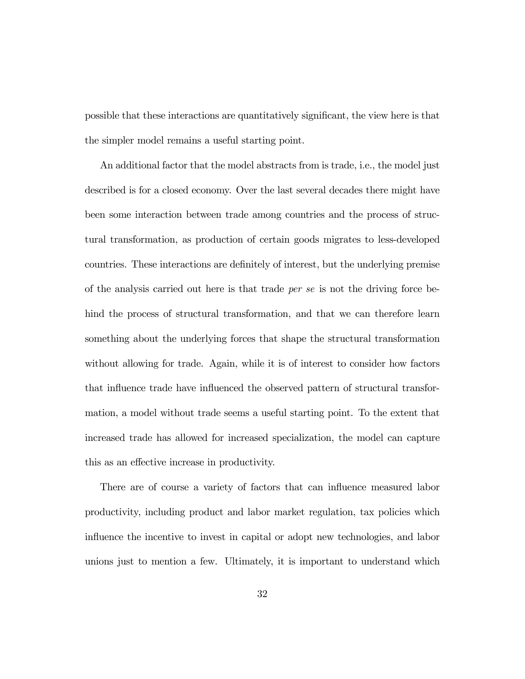possible that these interactions are quantitatively significant, the view here is that the simpler model remains a useful starting point.

An additional factor that the model abstracts from is trade, i.e., the model just described is for a closed economy. Over the last several decades there might have been some interaction between trade among countries and the process of structural transformation, as production of certain goods migrates to less-developed countries. These interactions are definitely of interest, but the underlying premise of the analysis carried out here is that trade per se is not the driving force behind the process of structural transformation, and that we can therefore learn something about the underlying forces that shape the structural transformation without allowing for trade. Again, while it is of interest to consider how factors that influence trade have influenced the observed pattern of structural transformation, a model without trade seems a useful starting point. To the extent that increased trade has allowed for increased specialization, the model can capture this as an effective increase in productivity.

There are of course a variety of factors that can influence measured labor productivity, including product and labor market regulation, tax policies which influence the incentive to invest in capital or adopt new technologies, and labor unions just to mention a few. Ultimately, it is important to understand which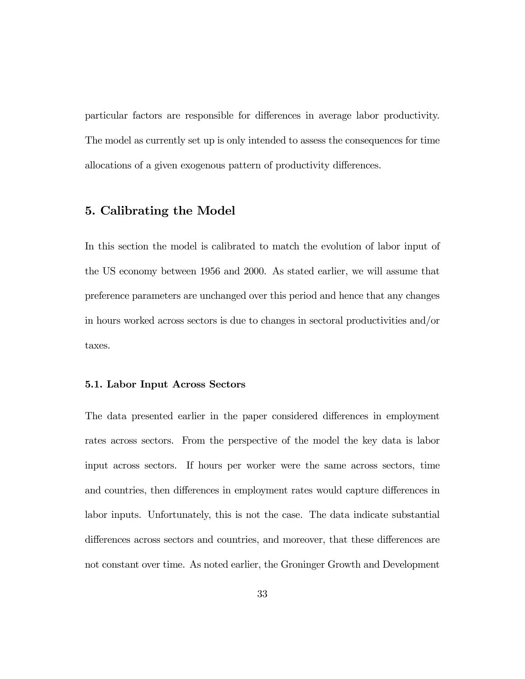particular factors are responsible for differences in average labor productivity. The model as currently set up is only intended to assess the consequences for time allocations of a given exogenous pattern of productivity differences.

## 5. Calibrating the Model

In this section the model is calibrated to match the evolution of labor input of the US economy between 1956 and 2000. As stated earlier, we will assume that preference parameters are unchanged over this period and hence that any changes in hours worked across sectors is due to changes in sectoral productivities and/or taxes.

#### 5.1. Labor Input Across Sectors

The data presented earlier in the paper considered differences in employment rates across sectors. From the perspective of the model the key data is labor input across sectors. If hours per worker were the same across sectors, time and countries, then differences in employment rates would capture differences in labor inputs. Unfortunately, this is not the case. The data indicate substantial differences across sectors and countries, and moreover, that these differences are not constant over time. As noted earlier, the Groninger Growth and Development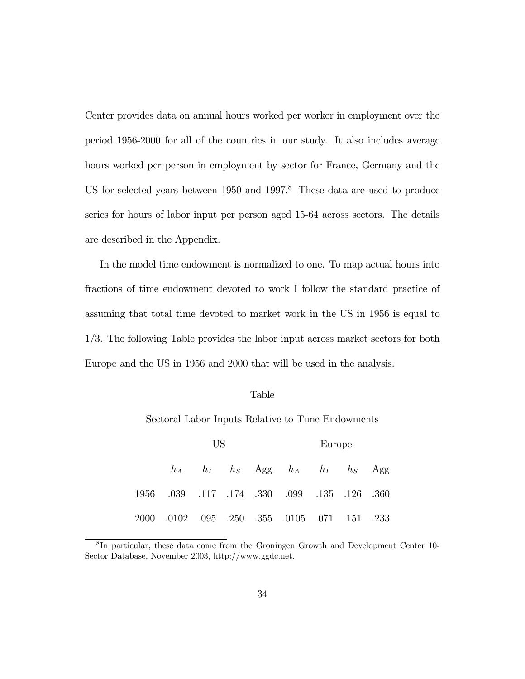Center provides data on annual hours worked per worker in employment over the period 1956-2000 for all of the countries in our study. It also includes average hours worked per person in employment by sector for France, Germany and the US for selected years between 1950 and 1997.<sup>8</sup> These data are used to produce series for hours of labor input per person aged 15-64 across sectors. The details are described in the Appendix.

In the model time endowment is normalized to one. To map actual hours into fractions of time endowment devoted to work I follow the standard practice of assuming that total time devoted to market work in the US in 1956 is equal to 1/3. The following Table provides the labor input across market sectors for both Europe and the US in 1956 and 2000 that will be used in the analysis.

#### Table

Sectoral Labor Inputs Relative to Time Endowments

| US.                                            |  |  | Europe |                                             |  |  |  |
|------------------------------------------------|--|--|--------|---------------------------------------------|--|--|--|
|                                                |  |  |        | $h_A$ $h_I$ $h_S$ Agg $h_A$ $h_I$ $h_S$ Agg |  |  |  |
| 1956 .039 .117 .174 .330 .099 .135 .126 .360   |  |  |        |                                             |  |  |  |
| 2000 .0102 .095 .250 .355 .0105 .071 .151 .233 |  |  |        |                                             |  |  |  |

<sup>8</sup> In particular, these data come from the Groningen Growth and Development Center 10- Sector Database, November 2003, http://www.ggdc.net.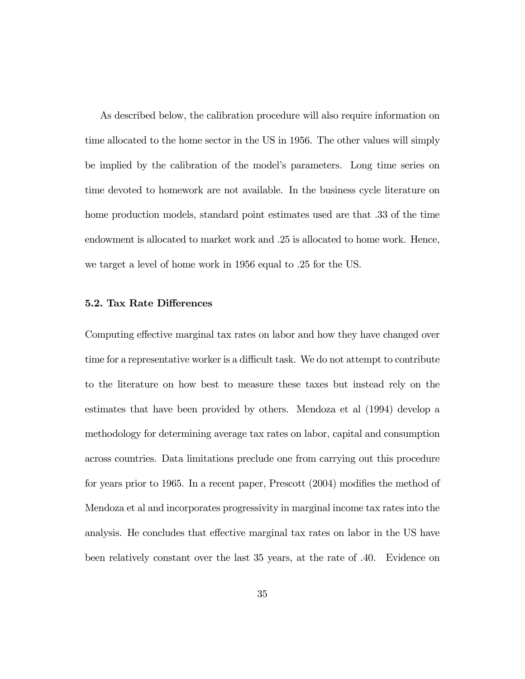As described below, the calibration procedure will also require information on time allocated to the home sector in the US in 1956. The other values will simply be implied by the calibration of the model's parameters. Long time series on time devoted to homework are not available. In the business cycle literature on home production models, standard point estimates used are that .33 of the time endowment is allocated to market work and .25 is allocated to home work. Hence, we target a level of home work in 1956 equal to .25 for the US.

#### 5.2. Tax Rate Differences

Computing effective marginal tax rates on labor and how they have changed over time for a representative worker is a difficult task. We do not attempt to contribute to the literature on how best to measure these taxes but instead rely on the estimates that have been provided by others. Mendoza et al (1994) develop a methodology for determining average tax rates on labor, capital and consumption across countries. Data limitations preclude one from carrying out this procedure for years prior to 1965. In a recent paper, Prescott (2004) modifies the method of Mendoza et al and incorporates progressivity in marginal income tax rates into the analysis. He concludes that effective marginal tax rates on labor in the US have been relatively constant over the last 35 years, at the rate of .40. Evidence on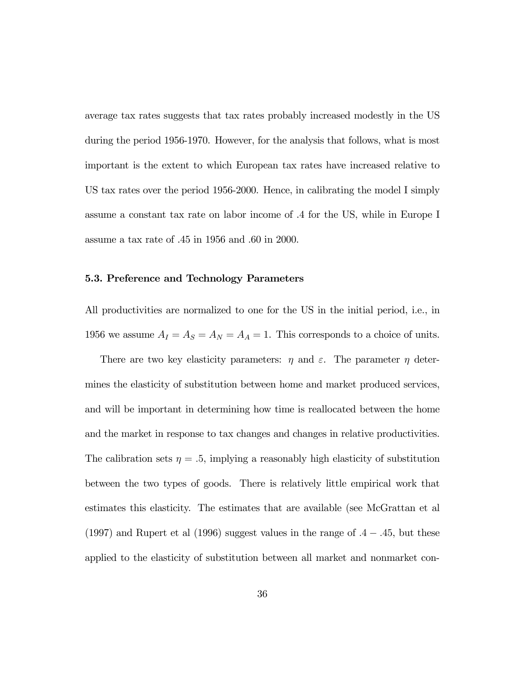average tax rates suggests that tax rates probably increased modestly in the US during the period 1956-1970. However, for the analysis that follows, what is most important is the extent to which European tax rates have increased relative to US tax rates over the period 1956-2000. Hence, in calibrating the model I simply assume a constant tax rate on labor income of .4 for the US, while in Europe I assume a tax rate of .45 in 1956 and .60 in 2000.

#### 5.3. Preference and Technology Parameters

All productivities are normalized to one for the US in the initial period, i.e., in 1956 we assume  $A_I = A_S = A_N = A_A = 1$ . This corresponds to a choice of units.

There are two key elasticity parameters:  $\eta$  and  $\varepsilon$ . The parameter  $\eta$  determines the elasticity of substitution between home and market produced services, and will be important in determining how time is reallocated between the home and the market in response to tax changes and changes in relative productivities. The calibration sets  $\eta = .5$ , implying a reasonably high elasticity of substitution between the two types of goods. There is relatively little empirical work that estimates this elasticity. The estimates that are available (see McGrattan et al (1997) and Rupert et al (1996) suggest values in the range of  $.4 - .45$ , but these applied to the elasticity of substitution between all market and nonmarket con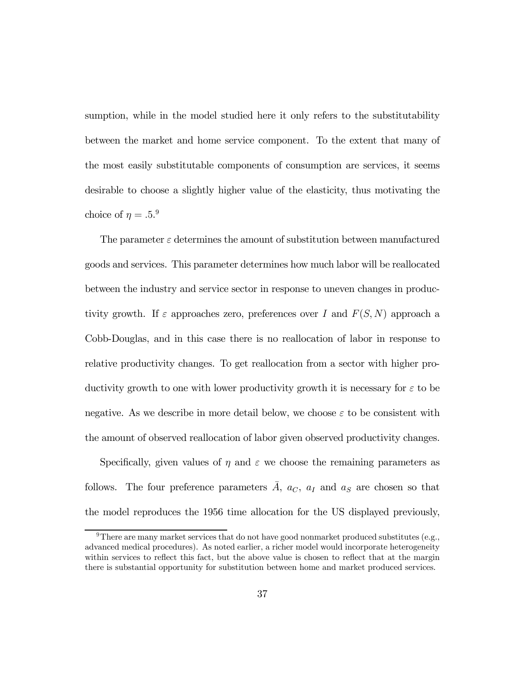sumption, while in the model studied here it only refers to the substitutability between the market and home service component. To the extent that many of the most easily substitutable components of consumption are services, it seems desirable to choose a slightly higher value of the elasticity, thus motivating the choice of  $\eta = .5.^9$ 

The parameter  $\varepsilon$  determines the amount of substitution between manufactured goods and services. This parameter determines how much labor will be reallocated between the industry and service sector in response to uneven changes in productivity growth. If  $\varepsilon$  approaches zero, preferences over I and  $F(S, N)$  approach a Cobb-Douglas, and in this case there is no reallocation of labor in response to relative productivity changes. To get reallocation from a sector with higher productivity growth to one with lower productivity growth it is necessary for  $\varepsilon$  to be negative. As we describe in more detail below, we choose  $\varepsilon$  to be consistent with the amount of observed reallocation of labor given observed productivity changes.

Specifically, given values of  $\eta$  and  $\varepsilon$  we choose the remaining parameters as follows. The four preference parameters  $\overline{A}$ ,  $a_C$ ,  $a_I$  and  $a_S$  are chosen so that the model reproduces the 1956 time allocation for the US displayed previously,

<sup>&</sup>lt;sup>9</sup>There are many market services that do not have good nonmarket produced substitutes (e.g., advanced medical procedures). As noted earlier, a richer model would incorporate heterogeneity within services to reflect this fact, but the above value is chosen to reflect that at the margin there is substantial opportunity for substitution between home and market produced services.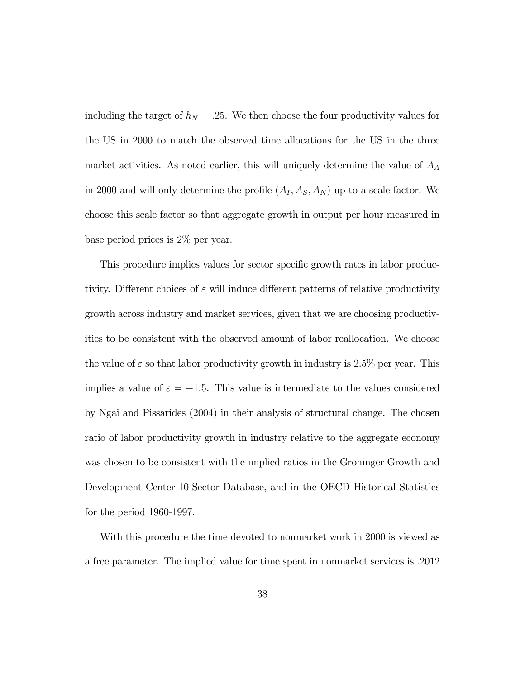including the target of  $h_N = .25$ . We then choose the four productivity values for the US in 2000 to match the observed time allocations for the US in the three market activities. As noted earlier, this will uniquely determine the value of  $A_A$ in 2000 and will only determine the profile  $(A_I, A_S, A_N)$  up to a scale factor. We choose this scale factor so that aggregate growth in output per hour measured in base period prices is 2% per year.

This procedure implies values for sector specific growth rates in labor productivity. Different choices of  $\varepsilon$  will induce different patterns of relative productivity growth across industry and market services, given that we are choosing productivities to be consistent with the observed amount of labor reallocation. We choose the value of  $\varepsilon$  so that labor productivity growth in industry is 2.5% per year. This implies a value of  $\varepsilon = -1.5$ . This value is intermediate to the values considered by Ngai and Pissarides (2004) in their analysis of structural change. The chosen ratio of labor productivity growth in industry relative to the aggregate economy was chosen to be consistent with the implied ratios in the Groninger Growth and Development Center 10-Sector Database, and in the OECD Historical Statistics for the period 1960-1997.

With this procedure the time devoted to nonmarket work in 2000 is viewed as a free parameter. The implied value for time spent in nonmarket services is .2012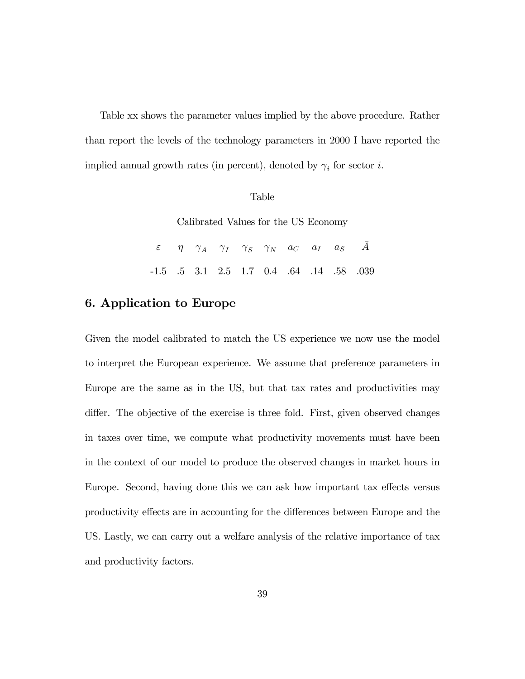Table xx shows the parameter values implied by the above procedure. Rather than report the levels of the technology parameters in 2000 I have reported the implied annual growth rates (in percent), denoted by  $\gamma_i$  for sector  $i.$ 

#### Table

Calibrated Values for the US Economy

|  | $\varepsilon \qquad \eta \qquad \gamma_A \qquad \gamma_I \qquad \gamma_S \qquad \gamma_N \qquad a_C \qquad a_I \qquad a_S \qquad \bar{A}$ |  |  |  |
|--|-------------------------------------------------------------------------------------------------------------------------------------------|--|--|--|
|  | $-1.5$ .5 3.1 2.5 1.7 0.4 .64 .14 .58 .039                                                                                                |  |  |  |

## 6. Application to Europe

Given the model calibrated to match the US experience we now use the model to interpret the European experience. We assume that preference parameters in Europe are the same as in the US, but that tax rates and productivities may differ. The objective of the exercise is three fold. First, given observed changes in taxes over time, we compute what productivity movements must have been in the context of our model to produce the observed changes in market hours in Europe. Second, having done this we can ask how important tax effects versus productivity effects are in accounting for the differences between Europe and the US. Lastly, we can carry out a welfare analysis of the relative importance of tax and productivity factors.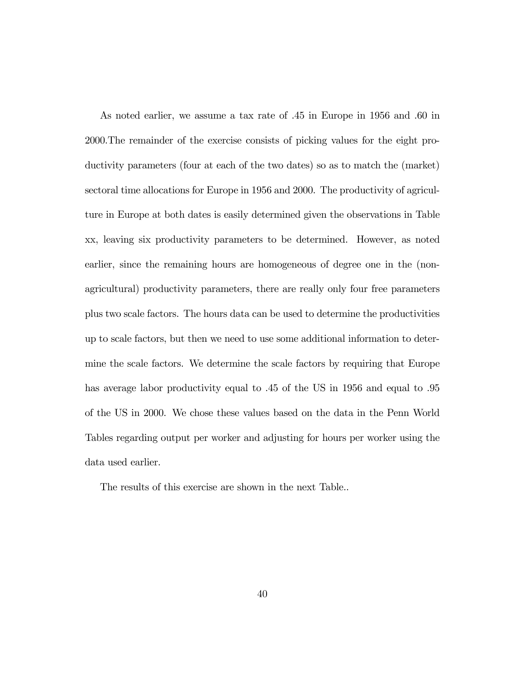As noted earlier, we assume a tax rate of .45 in Europe in 1956 and .60 in 2000.The remainder of the exercise consists of picking values for the eight productivity parameters (four at each of the two dates) so as to match the (market) sectoral time allocations for Europe in 1956 and 2000. The productivity of agriculture in Europe at both dates is easily determined given the observations in Table xx, leaving six productivity parameters to be determined. However, as noted earlier, since the remaining hours are homogeneous of degree one in the (nonagricultural) productivity parameters, there are really only four free parameters plus two scale factors. The hours data can be used to determine the productivities up to scale factors, but then we need to use some additional information to determine the scale factors. We determine the scale factors by requiring that Europe has average labor productivity equal to .45 of the US in 1956 and equal to .95 of the US in 2000. We chose these values based on the data in the Penn World Tables regarding output per worker and adjusting for hours per worker using the data used earlier.

The results of this exercise are shown in the next Table..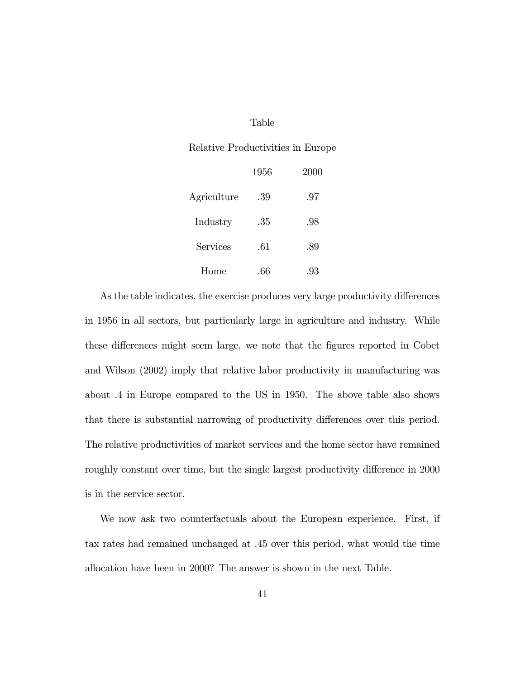#### Table

#### Relative Productivities in Europe

|             | 1956 | 2000 |
|-------------|------|------|
| Agriculture | .39  | .97  |
| Industry    | .35  | .98  |
| Services    | .61  | .89  |
| Home        |      | .93  |

As the table indicates, the exercise produces very large productivity differences in 1956 in all sectors, but particularly large in agriculture and industry. While these differences might seem large, we note that the figures reported in Cobet and Wilson (2002) imply that relative labor productivity in manufacturing was about .4 in Europe compared to the US in 1950. The above table also shows that there is substantial narrowing of productivity differences over this period. The relative productivities of market services and the home sector have remained roughly constant over time, but the single largest productivity difference in 2000 is in the service sector.

We now ask two counterfactuals about the European experience. First, if tax rates had remained unchanged at .45 over this period, what would the time allocation have been in 2000? The answer is shown in the next Table.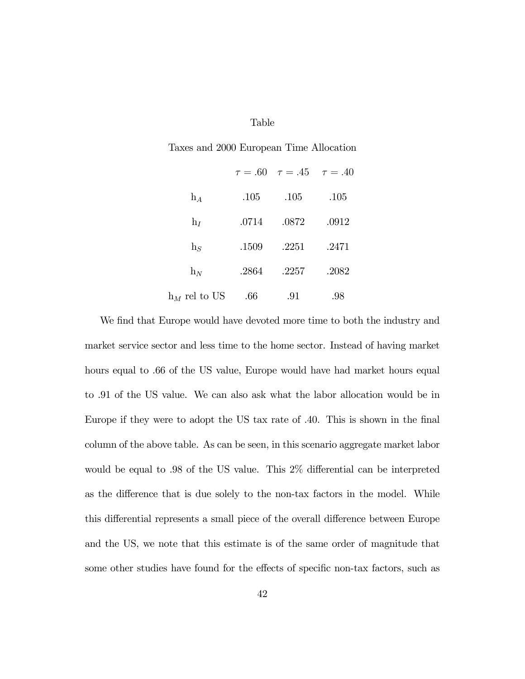#### Table

Taxes and 2000 European Time Allocation

|                 |       | $\tau = .60 \quad \tau = .45 \quad \tau = .40$ |       |
|-----------------|-------|------------------------------------------------|-------|
| $h_A$           | .105  | .105                                           | .105  |
| $h_I$           | .0714 | .0872                                          | .0912 |
| $h_S$           | .1509 | .2251                                          | .2471 |
| $h_N$           | .2864 | .2257                                          | .2082 |
| $h_M$ rel to US | .66   | .91                                            | .98   |

We find that Europe would have devoted more time to both the industry and market service sector and less time to the home sector. Instead of having market hours equal to .66 of the US value, Europe would have had market hours equal to .91 of the US value. We can also ask what the labor allocation would be in Europe if they were to adopt the US tax rate of .40. This is shown in the final column of the above table. As can be seen, in this scenario aggregate market labor would be equal to .98 of the US value. This 2% differential can be interpreted as the difference that is due solely to the non-tax factors in the model. While this differential represents a small piece of the overall difference between Europe and the US, we note that this estimate is of the same order of magnitude that some other studies have found for the effects of specific non-tax factors, such as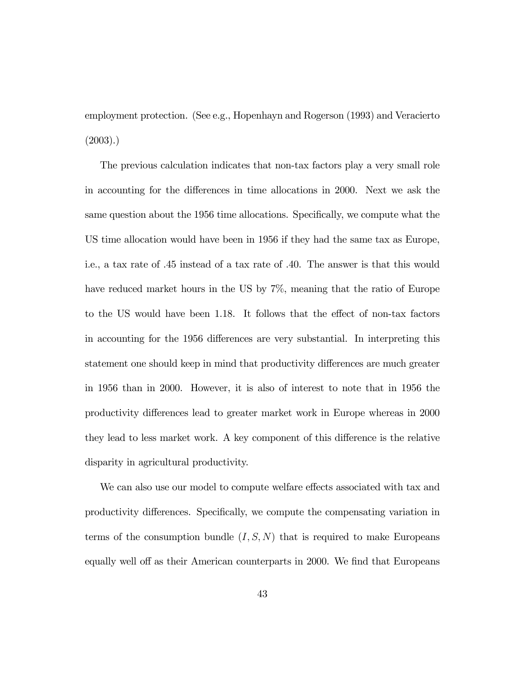employment protection. (See e.g., Hopenhayn and Rogerson (1993) and Veracierto (2003).)

The previous calculation indicates that non-tax factors play a very small role in accounting for the differences in time allocations in 2000. Next we ask the same question about the 1956 time allocations. Specifically, we compute what the US time allocation would have been in 1956 if they had the same tax as Europe, i.e., a tax rate of .45 instead of a tax rate of .40. The answer is that this would have reduced market hours in the US by 7\%, meaning that the ratio of Europe to the US would have been 1.18. It follows that the effect of non-tax factors in accounting for the 1956 differences are very substantial. In interpreting this statement one should keep in mind that productivity differences are much greater in 1956 than in 2000. However, it is also of interest to note that in 1956 the productivity differences lead to greater market work in Europe whereas in 2000 they lead to less market work. A key component of this difference is the relative disparity in agricultural productivity.

We can also use our model to compute welfare effects associated with tax and productivity differences. Specifically, we compute the compensating variation in terms of the consumption bundle  $(I, S, N)$  that is required to make Europeans equally well off as their American counterparts in 2000. We find that Europeans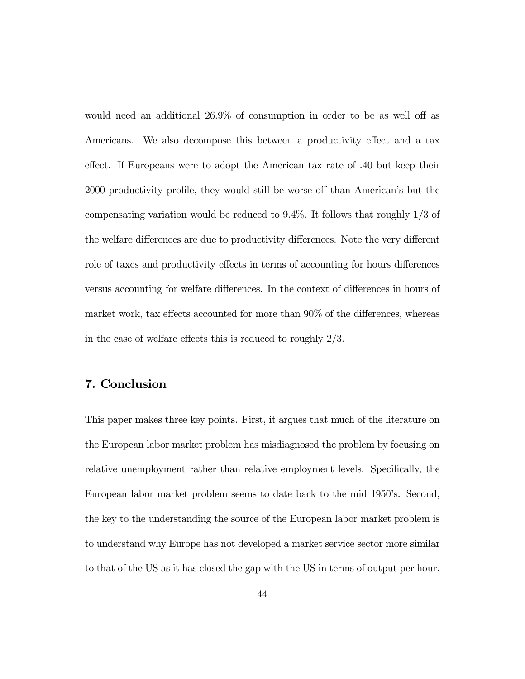would need an additional 26.9% of consumption in order to be as well off as Americans. We also decompose this between a productivity effect and a tax effect. If Europeans were to adopt the American tax rate of .40 but keep their 2000 productivity profile, they would still be worse off than American's but the compensating variation would be reduced to 9.4%. It follows that roughly 1/3 of the welfare differences are due to productivity differences. Note the very different role of taxes and productivity effects in terms of accounting for hours differences versus accounting for welfare differences. In the context of differences in hours of market work, tax effects accounted for more than 90% of the differences, whereas in the case of welfare effects this is reduced to roughly 2/3.

## 7. Conclusion

This paper makes three key points. First, it argues that much of the literature on the European labor market problem has misdiagnosed the problem by focusing on relative unemployment rather than relative employment levels. Specifically, the European labor market problem seems to date back to the mid 1950's. Second, the key to the understanding the source of the European labor market problem is to understand why Europe has not developed a market service sector more similar to that of the US as it has closed the gap with the US in terms of output per hour.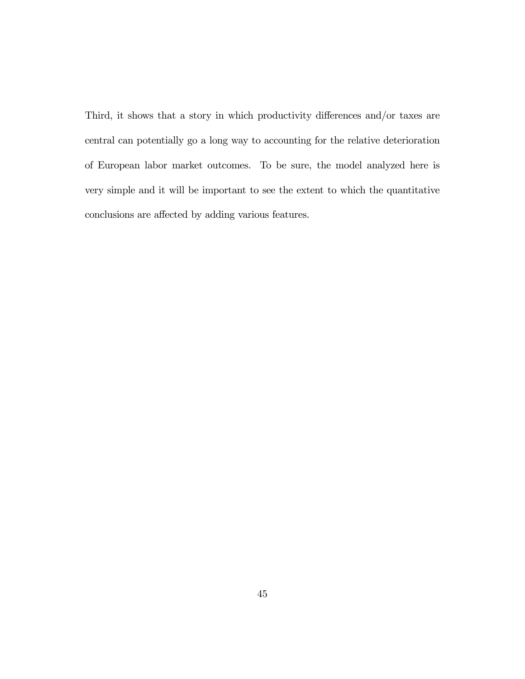Third, it shows that a story in which productivity differences and/or taxes are central can potentially go a long way to accounting for the relative deterioration of European labor market outcomes. To be sure, the model analyzed here is very simple and it will be important to see the extent to which the quantitative conclusions are affected by adding various features.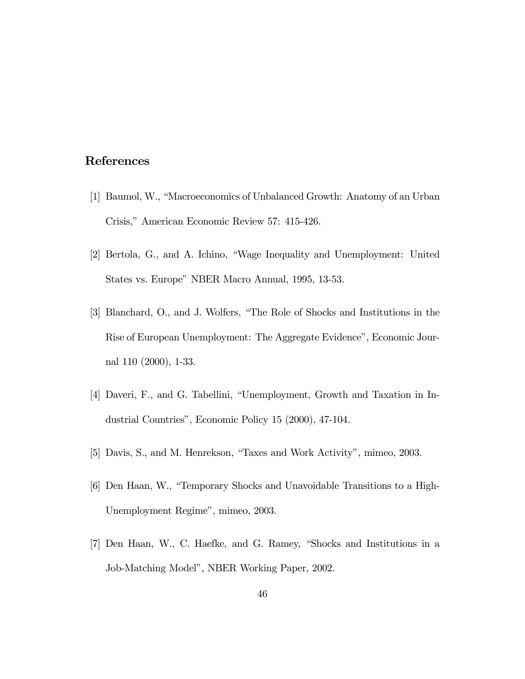## References

- [1] Baumol, W., "Macroeconomics of Unbalanced Growth: Anatomy of an Urban Crisis," American Economic Review 57: 415-426.
- [2] Bertola, G., and A. Ichino, "Wage Inequality and Unemployment: United States vs. Europe" NBER Macro Annual, 1995, 13-53.
- [3] Blanchard, O., and J. Wolfers, "The Role of Shocks and Institutions in the Rise of European Unemployment: The Aggregate Evidence", Economic Journal 110 (2000), 1-33.
- [4] Daveri, F., and G. Tabellini, "Unemployment, Growth and Taxation in Industrial Countries", Economic Policy 15 (2000), 47-104.
- [5] Davis, S., and M. Henrekson, "Taxes and Work Activity", mimeo, 2003.
- [6] Den Haan, W., "Temporary Shocks and Unavoidable Transitions to a High-Unemployment Regime", mimeo, 2003.
- [7] Den Haan, W., C. Haefke, and G. Ramey, "Shocks and Institutions in a Job-Matching Model", NBER Working Paper, 2002.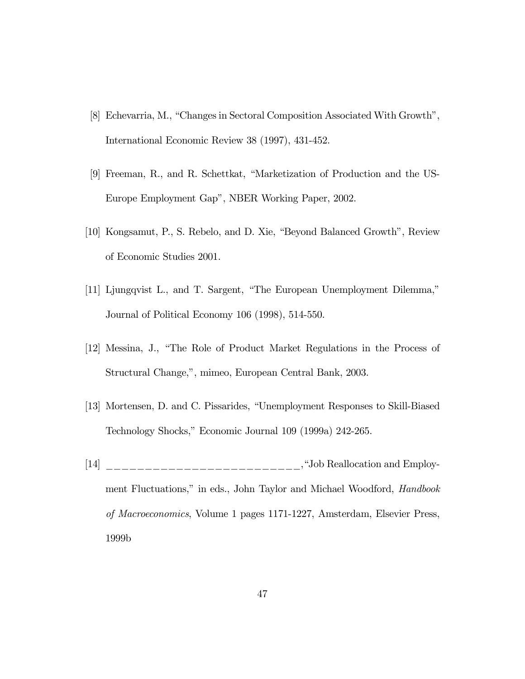- [8] Echevarria, M., "Changes in Sectoral Composition Associated With Growth", International Economic Review 38 (1997), 431-452.
- [9] Freeman, R., and R. Schettkat, "Marketization of Production and the US-Europe Employment Gap", NBER Working Paper, 2002.
- [10] Kongsamut, P., S. Rebelo, and D. Xie, "Beyond Balanced Growth", Review of Economic Studies 2001.
- [11] Ljungqvist L., and T. Sargent, "The European Unemployment Dilemma," Journal of Political Economy 106 (1998), 514-550.
- [12] Messina, J., "The Role of Product Market Regulations in the Process of Structural Change,", mimeo, European Central Bank, 2003.
- [13] Mortensen, D. and C. Pissarides, "Unemployment Responses to Skill-Biased Technology Shocks," Economic Journal 109 (1999a) 242-265.
- $[14]$  \_\_\_\_\_\_\_\_\_\_\_\_\_\_\_\_\_\_\_\_\_\_\_\_\_\_\_\_\_, "Job Reallocation and Employment Fluctuations," in eds., John Taylor and Michael Woodford, Handbook of Macroeconomics, Volume 1 pages 1171-1227, Amsterdam, Elsevier Press, 1999b